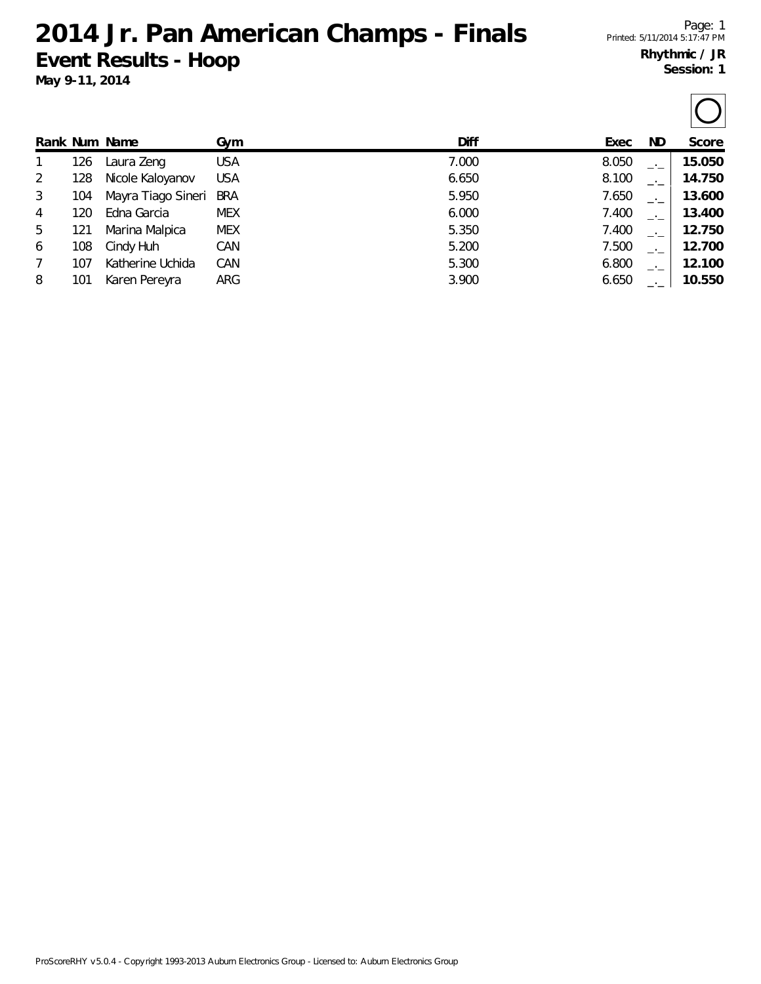## **2014 Jr. Pan American Champs - Finals Event Results - Hoop**

 $\overline{\frown}$ 

|   |     | Rank Num Name      | Gym        | <b>Diff</b> | Exec  | ND.  | Score  |
|---|-----|--------------------|------------|-------------|-------|------|--------|
|   | 126 | Laura Zeng         | <b>USA</b> | 7.000       | 8.050 |      | 15.050 |
| 2 | 128 | Nicole Kaloyanov   | <b>USA</b> | 6.650       | 8.100 |      | 14.750 |
| 3 | 104 | Mayra Tiago Sineri | <b>BRA</b> | 5.950       | 7.650 |      | 13.600 |
| 4 | 120 | Edna Garcia        | <b>MEX</b> | 6.000       | 7.400 | $-1$ | 13.400 |
| 5 | 121 | Marina Malpica     | <b>MEX</b> | 5.350       | 7.400 | $-1$ | 12.750 |
| 6 | 108 | Cindy Huh          | CAN        | 5.200       | 7.500 | $-1$ | 12.700 |
| 7 | 107 | Katherine Uchida   | CAN        | 5.300       | 6.800 | $-1$ | 12.100 |
| 8 | 101 | Karen Pereyra      | ARG        | 3.900       | 6.650 |      | 10.550 |

ProScoreRHY v5.0.4 - Copyright 1993-2013 Auburn Electronics Group - Licensed to: Auburn Electronics Group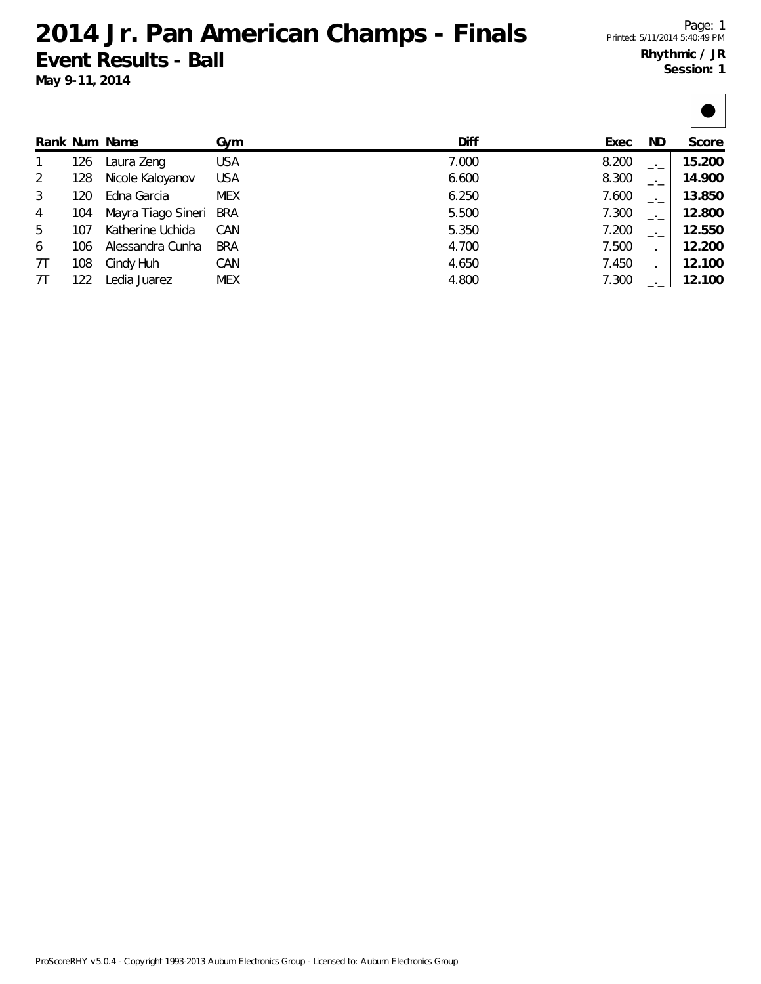## **2014 Jr. Pan American Champs - Finals Event Results - Ball May 9-11, 2014**

|    |     | Rank Num Name      | Gym        | Diff  | Exec  | ND. | Score  |
|----|-----|--------------------|------------|-------|-------|-----|--------|
|    | 126 | Laura Zeng         | <b>USA</b> | 7.000 | 8.200 |     | 15.200 |
| 2  | 128 | Nicole Kaloyanov   | <b>USA</b> | 6.600 | 8.300 |     | 14.900 |
| 3  | 120 | Edna Garcia        | <b>MEX</b> | 6.250 | 7.600 |     | 13.850 |
| 4  | 104 | Mayra Tiago Sineri | <b>BRA</b> | 5.500 | 7.300 |     | 12.800 |
| 5  | 107 | Katherine Uchida   | CAN        | 5.350 | 7.200 |     | 12.550 |
| 6  | 106 | Alessandra Cunha   | <b>BRA</b> | 4.700 | 7.500 |     | 12.200 |
| 7T | 108 | Cindy Huh          | CAN        | 4.650 | 7.450 |     | 12.100 |
| 7T | 122 | Ledia Juarez       | <b>MEX</b> | 4.800 | 7.300 |     | 12.100 |

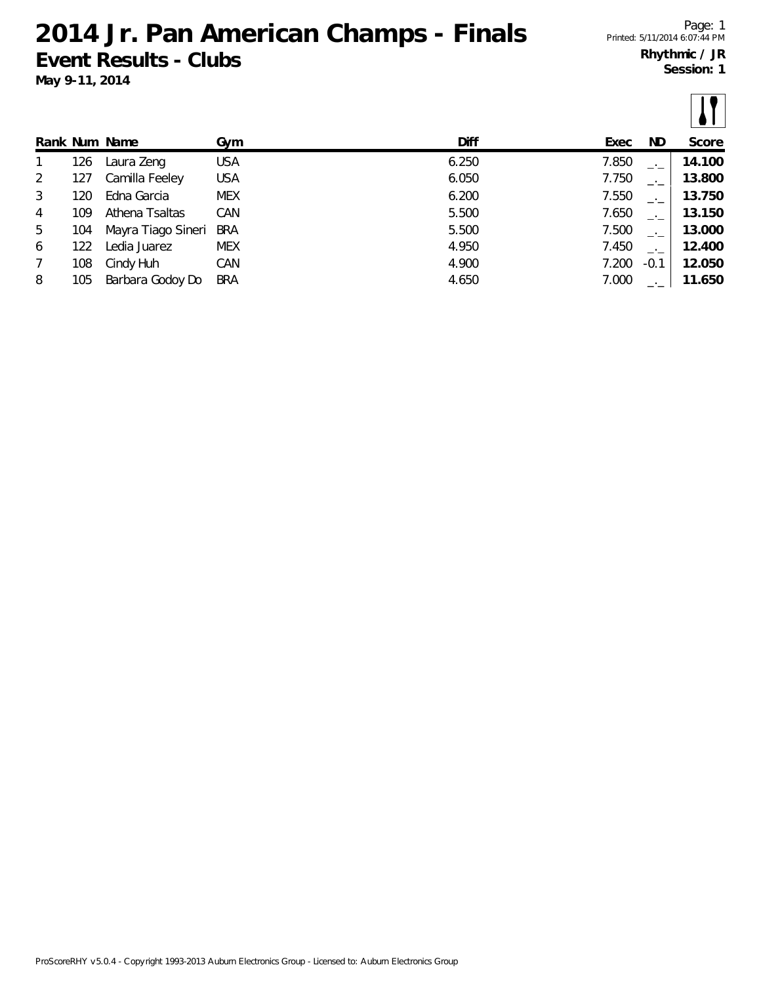## **2014 Jr. Pan American Champs - Finals Event Results - Clubs**

**May 9-11, 2014**

 $\boxed{1}$ 

|              |     | Rank Num Name      | Gym        | Diff  | Exec  | ND.                      | Score  |
|--------------|-----|--------------------|------------|-------|-------|--------------------------|--------|
| $\mathbf{1}$ | 126 | Laura Zeng         | <b>USA</b> | 6.250 | 7.850 | $-1$                     | 14.100 |
| 2            | 127 | Camilla Feeley     | <b>USA</b> | 6.050 | 7.750 | $-1$                     | 13.800 |
| 3            | 120 | Edna Garcia        | <b>MEX</b> | 6.200 | 7.550 | $\rightarrow$            | 13.750 |
| 4            | 109 | Athena Tsaltas     | CAN        | 5.500 | 7.650 | $\rightarrow$            | 13.150 |
| 5            | 104 | Mayra Tiago Sineri | <b>BRA</b> | 5.500 | 7.500 | $-1$                     | 13.000 |
| 6            | 122 | Ledia Juarez       | <b>MEX</b> | 4.950 | 7.450 | $\overline{\phantom{a}}$ | 12.400 |
| 7            | 108 | Cindy Huh          | CAN        | 4.900 | 7.200 | $-0.1$                   | 12.050 |
| 8            | 105 | Barbara Godoy Do   | <b>BRA</b> | 4.650 | 7.000 |                          | 11.650 |